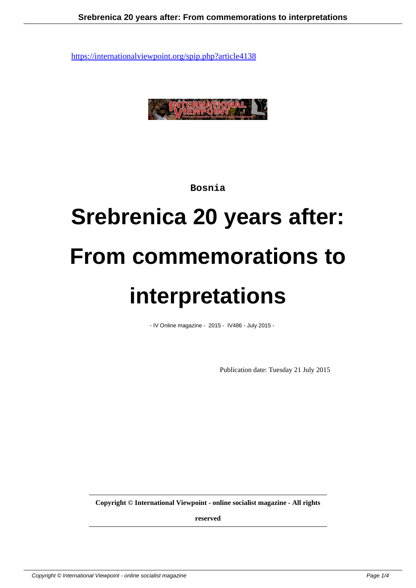

**Bosnia**

## **Srebrenica 20 years after: From commemorations to interpretations**

- IV Online magazine - 2015 - IV486 - July 2015 -

Publication date: Tuesday 21 July 2015

**Copyright © International Viewpoint - online socialist magazine - All rights**

**reserved**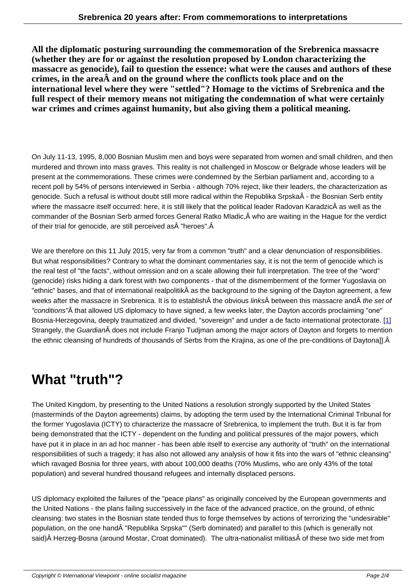**All the diplomatic posturing surrounding the commemoration of the Srebrenica massacre (whether they are for or against the resolution proposed by London characterizing the massacre as genocide), fail to question the essence: what were the causes and authors of these crimes, in the area A and on the ground where the conflicts took place and on the international level where they were "settled"? Homage to the victims of Srebrenica and the full respect of their memory means not mitigating the condemnation of what were certainly war crimes and crimes against humanity, but also giving them a political meaning.**

On July 11-13, 1995, 8,000 Bosnian Muslim men and boys were separated from women and small children, and then murdered and thrown into mass graves. This reality is not challenged in Moscow or Belgrade whose leaders will be present at the commemorations. These crimes were condemned by the Serbian parliament and, according to a recent poll by 54% of persons interviewed in Serbia - although 70% reject, like their leaders, the characterization as genocide. Such a refusal is without doubt still more radical within the Republika Srpska $A$  - the Bosnian Serb entity where the massacre itself occurred: here, it is still likely that the political leader Radovan Karadzic as well as the commander of the Bosnian Serb armed forces General Ratko Mladic, Â who are waiting in the Hague for the verdict of their trial for genocide, are still perceived as  $\hat{A}$  "heroes". $\hat{A}$ 

We are therefore on this 11 July 2015, very far from a common "truth" and a clear denunciation of responsibilities. But what responsibilities? Contrary to what the dominant commentaries say, it is not the term of genocide which is the real test of "the facts", without omission and on a scale allowing their full interpretation. The tree of the "word" (genocide) risks hiding a dark forest with two components - that of the dismemberment of the former Yugoslavia on "ethnic" bases, and that of international realpolitik as the background to the signing of the Dayton agreement, a few weeks after the massacre in Srebrenica. It is to establish the obvious links between this massacre and the set of "conditions" $\hat{A}$  that allowed US diplomacy to have signed, a few weeks later, the Dayton accords proclaiming "one" Bosnia-Herzegovina, deeply traumatized and divided, "sovereign" and under a de facto international protectorate. [1] Strangely, the Guardian does not include Franjo Tudjman among the major actors of Dayton and forgets to mention the ethnic cleansing of hundreds of thousands of Serbs from the Krajina, as one of the pre-conditions of Daytona]].Â

## **What "truth"?**

The United Kingdom, by presenting to the United Nations a resolution strongly supported by the United States (masterminds of the Dayton agreements) claims, by adopting the term used by the International Criminal Tribunal for the former Yugoslavia (ICTY) to characterize the massacre of Srebrenica, to implement the truth. But it is far from being demonstrated that the ICTY - dependent on the funding and political pressures of the major powers, which have put it in place in an ad hoc manner - has been able itself to exercise any authority of "truth" on the international responsibilities of such a tragedy; it has also not allowed any analysis of how it fits into the wars of "ethnic cleansing" which ravaged Bosnia for three years, with about 100,000 deaths (70% Muslims, who are only 43% of the total population) and several hundred thousand refugees and internally displaced persons.

US diplomacy exploited the failures of the "peace plans" as originally conceived by the European governments and the United Nations - the plans failing successively in the face of the advanced practice, on the ground, of ethnic cleansing: two states in the Bosnian state tended thus to forge themselves by actions of terrorizing the "undesirable" population, on the one hand A "Republika Srpska"" (Serb dominated) and parallel to this (which is generally not said) A Herzeg-Bosna (around Mostar, Croat dominated). The ultra-nationalist militias A of these two side met from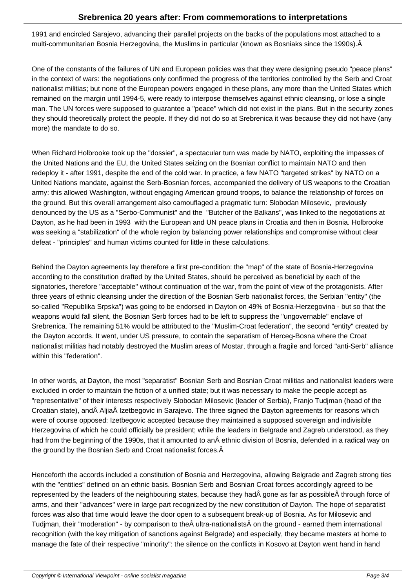1991 and encircled Sarajevo, advancing their parallel projects on the backs of the populations most attached to a multi-communitarian Bosnia Herzegovina, the Muslims in particular (known as Bosniaks since the 1990s).Â

One of the constants of the failures of UN and European policies was that they were designing pseudo "peace plans" in the context of wars: the negotiations only confirmed the progress of the territories controlled by the Serb and Croat nationalist militias; but none of the European powers engaged in these plans, any more than the United States which remained on the margin until 1994-5, were ready to interpose themselves against ethnic cleansing, or lose a single man. The UN forces were supposed to guarantee a "peace" which did not exist in the plans. But in the security zones they should theoretically protect the people. If they did not do so at Srebrenica it was because they did not have (any more) the mandate to do so.

When Richard Holbrooke took up the "dossier", a spectacular turn was made by NATO, exploiting the impasses of the United Nations and the EU, the United States seizing on the Bosnian conflict to maintain NATO and then redeploy it - after 1991, despite the end of the cold war. In practice, a few NATO "targeted strikes" by NATO on a United Nations mandate, against the Serb-Bosnian forces, accompanied the delivery of US weapons to the Croatian army: this allowed Washington, without engaging American ground troops, to balance the relationship of forces on the ground. But this overall arrangement also camouflaged a pragmatic turn: Slobodan Milosevic, previously denounced by the US as a "Serbo-Communist" and the "Butcher of the Balkans", was linked to the negotiations at Dayton, as he had been in 1993 with the European and UN peace plans in Croatia and then in Bosnia. Holbrooke was seeking a "stabilization" of the whole region by balancing power relationships and compromise without clear defeat - "principles" and human victims counted for little in these calculations.

Behind the Dayton agreements lay therefore a first pre-condition: the "map" of the state of Bosnia-Herzegovina according to the constitution drafted by the United States, should be perceived as beneficial by each of the signatories, therefore "acceptable" without continuation of the war, from the point of view of the protagonists. After three years of ethnic cleansing under the direction of the Bosnian Serb nationalist forces, the Serbian "entity" (the so-called "Republika Srpska") was going to be endorsed in Dayton on 49% of Bosnia-Herzegovina - but so that the weapons would fall silent, the Bosnian Serb forces had to be left to suppress the "ungovernable" enclave of Srebrenica. The remaining 51% would be attributed to the "Muslim-Croat federation", the second "entity" created by the Dayton accords. It went, under US pressure, to contain the separatism of Herceg-Bosna where the Croat nationalist militias had notably destroyed the Muslim areas of Mostar, through a fragile and forced "anti-Serb" alliance within this "federation".

In other words, at Dayton, the most "separatist" Bosnian Serb and Bosnian Croat militias and nationalist leaders were excluded in order to maintain the fiction of a unified state; but it was necessary to make the people accept as "representative" of their interests respectively Slobodan Milosevic (leader of Serbia), Franjo Tudjman (head of the Croatian state), and A Aljia A Izetbegovic in Sarajevo. The three signed the Dayton agreements for reasons which were of course opposed: Izetbegovic accepted because they maintained a supposed sovereign and indivisible Herzegovina of which he could officially be president; while the leaders in Belgrade and Zagreb understood, as they had from the beginning of the 1990s, that it amounted to an ethnic division of Bosnia, defended in a radical way on the ground by the Bosnian Serb and Croat nationalist forces.Â

Henceforth the accords included a constitution of Bosnia and Herzegovina, allowing Belgrade and Zagreb strong ties with the "entities" defined on an ethnic basis. Bosnian Serb and Bosnian Croat forces accordingly agreed to be represented by the leaders of the neighbouring states, because they had  $\hat{A}$  gone as far as possible  $\hat{A}$  through force of arms, and their "advances" were in large part recognized by the new constitution of Dayton. The hope of separatist forces was also that time would leave the door open to a subsequent break-up of Bosnia. As for Milosevic and Tudjman, their "moderation" - by comparison to the Âultra-nationalists on the ground - earned them international recognition (with the key mitigation of sanctions against Belgrade) and especially, they became masters at home to manage the fate of their respective "minority": the silence on the conflicts in Kosovo at Dayton went hand in hand